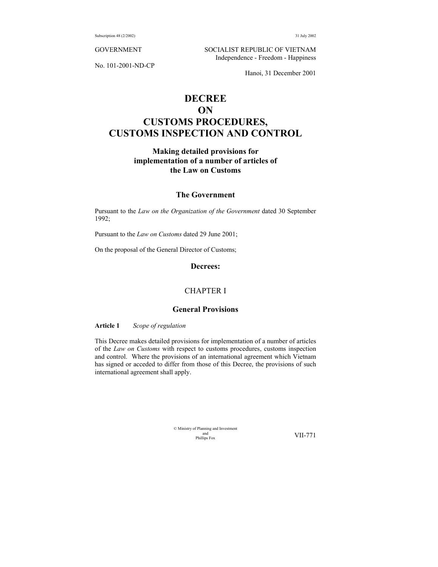No. 101-2001-ND-CP

GOVERNMENT SOCIALIST REPUBLIC OF VIETNAM Independence - Freedom - Happiness

Hanoi, 31 December 2001

# **DECREE ON CUSTOMS PROCEDURES, CUSTOMS INSPECTION AND CONTROL**

## **Making detailed provisions for implementation of a number of articles of the Law on Customs**

## **The Government**

Pursuant to the *Law on the Organization of the Government* dated 30 September 1992;

Pursuant to the *Law on Customs* dated 29 June 2001;

On the proposal of the General Director of Customs;

### **Decrees:**

## CHAPTER I

## **General Provisions**

**Article 1** *Scope of regulation*

This Decree makes detailed provisions for implementation of a number of articles of the *Law on Customs* with respect to customs procedures, customs inspection and control. Where the provisions of an international agreement which Vietnam has signed or acceded to differ from those of this Decree, the provisions of such international agreement shall apply.

> © Ministry of Planning and Investment and<br>Phillips Fox

VII-771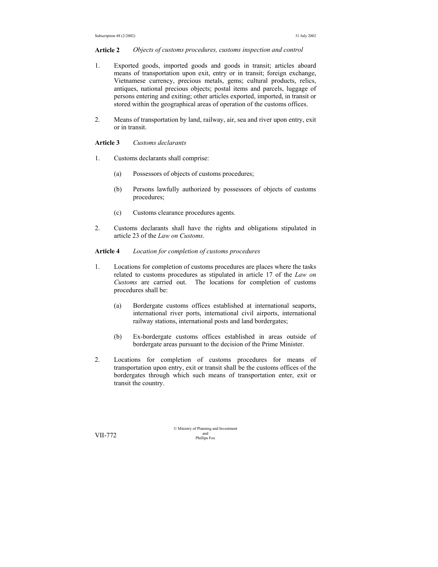#### **Article 2** *Objects of customs procedures, customs inspection and control*

- 1. Exported goods, imported goods and goods in transit; articles aboard means of transportation upon exit, entry or in transit; foreign exchange, Vietnamese currency, precious metals, gems; cultural products, relics, antiques, national precious objects; postal items and parcels, luggage of persons entering and exiting; other articles exported, imported, in transit or stored within the geographical areas of operation of the customs offices.
- 2. Means of transportation by land, railway, air, sea and river upon entry, exit or in transit.

## **Article 3** *Customs declarants*

- 1. Customs declarants shall comprise:
	- (a) Possessors of objects of customs procedures;
	- (b) Persons lawfully authorized by possessors of objects of customs procedures;
	- (c) Customs clearance procedures agents.
- 2. Customs declarants shall have the rights and obligations stipulated in article 23 of the *Law on Customs*.

#### **Article 4** *Location for completion of customs procedures*

- 1. Locations for completion of customs procedures are places where the tasks related to customs procedures as stipulated in article 17 of the *Law on Customs* are carried out. The locations for completion of customs procedures shall be:
	- (a) Bordergate customs offices established at international seaports, international river ports, international civil airports, international railway stations, international posts and land bordergates;
	- (b) Ex-bordergate customs offices established in areas outside of bordergate areas pursuant to the decision of the Prime Minister.
- 2. Locations for completion of customs procedures for means of transportation upon entry, exit or transit shall be the customs offices of the bordergates through which such means of transportation enter, exit or transit the country.

© Ministry of Planning and Investment and VII-772 Phillips Fox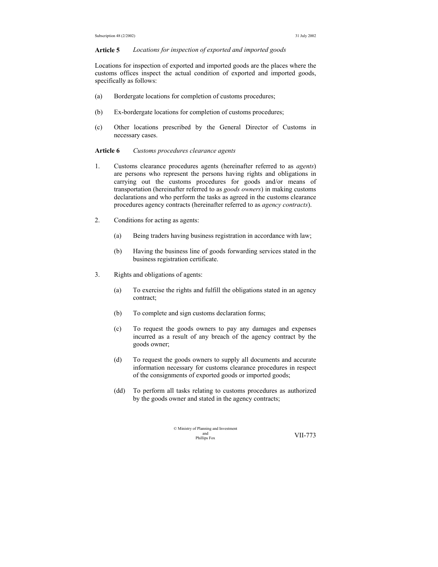### **Article 5** *Locations for inspection of exported and imported goods*

Locations for inspection of exported and imported goods are the places where the customs offices inspect the actual condition of exported and imported goods, specifically as follows:

- (a) Bordergate locations for completion of customs procedures;
- (b) Ex-bordergate locations for completion of customs procedures;
- (c) Other locations prescribed by the General Director of Customs in necessary cases.

### **Article 6** *Customs procedures clearance agents*

- 1. Customs clearance procedures agents (hereinafter referred to as *agents*) are persons who represent the persons having rights and obligations in carrying out the customs procedures for goods and/or means of transportation (hereinafter referred to as *goods owners*) in making customs declarations and who perform the tasks as agreed in the customs clearance procedures agency contracts (hereinafter referred to as *agency contracts*).
- 2. Conditions for acting as agents:
	- (a) Being traders having business registration in accordance with law;
	- (b) Having the business line of goods forwarding services stated in the business registration certificate.
- 3. Rights and obligations of agents:
	- (a) To exercise the rights and fulfill the obligations stated in an agency contract;
	- (b) To complete and sign customs declaration forms;
	- (c) To request the goods owners to pay any damages and expenses incurred as a result of any breach of the agency contract by the goods owner;
	- (d) To request the goods owners to supply all documents and accurate information necessary for customs clearance procedures in respect of the consignments of exported goods or imported goods;
	- (dd) To perform all tasks relating to customs procedures as authorized by the goods owner and stated in the agency contracts;

| © Ministry of Planning and Investment |         |
|---------------------------------------|---------|
| and                                   | VII-773 |
| Phillips Fox                          |         |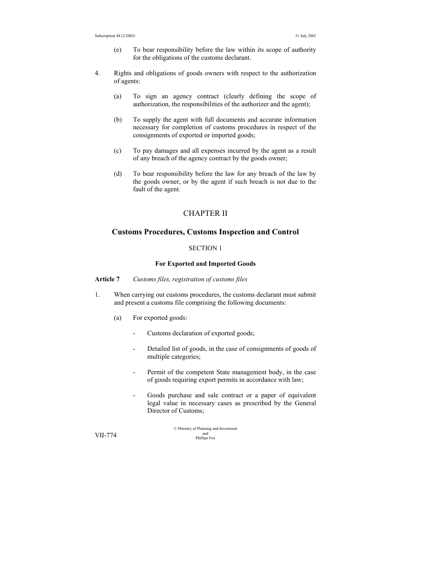- (e) To bear responsibility before the law within its scope of authority for the obligations of the customs declarant.
- 4. Rights and obligations of goods owners with respect to the authorization of agents:
	- (a) To sign an agency contract (clearly defining the scope of authorization, the responsibilities of the authorizer and the agent);
	- (b) To supply the agent with full documents and accurate information necessary for completion of customs procedures in respect of the consignments of exported or imported goods;
	- (c) To pay damages and all expenses incurred by the agent as a result of any breach of the agency contract by the goods owner;
	- (d) To bear responsibility before the law for any breach of the law by the goods owner, or by the agent if such breach is not due to the fault of the agent.

## CHAPTER II

## **Customs Procedures, Customs Inspection and Control**

## SECTION 1

## **For Exported and Imported Goods**

**Article 7** *Customs files, registration of customs files* 

- 1. When carrying out customs procedures, the customs declarant must submit and present a customs file comprising the following documents:
	- (a) For exported goods:
		- Customs declaration of exported goods;
		- Detailed list of goods, in the case of consignments of goods of multiple categories;
		- Permit of the competent State management body, in the case of goods requiring export permits in accordance with law;
		- Goods purchase and sale contract or a paper of equivalent legal value in necessary cases as prescribed by the General Director of Customs;

© Ministry of Planning and Investment and VII-774 Phillips Fox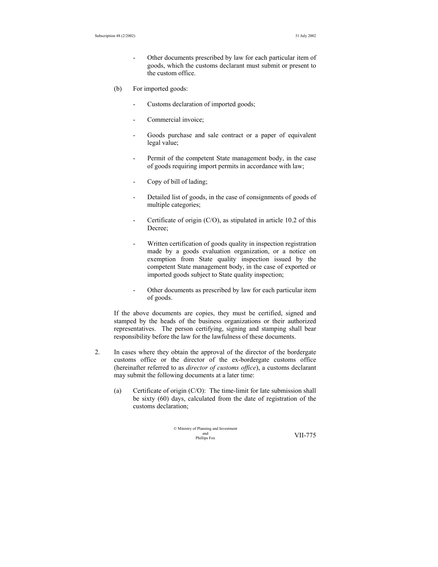- Other documents prescribed by law for each particular item of goods, which the customs declarant must submit or present to the custom office.
- (b) For imported goods:
	- Customs declaration of imported goods;
	- Commercial invoice:
	- Goods purchase and sale contract or a paper of equivalent legal value;
	- Permit of the competent State management body, in the case of goods requiring import permits in accordance with law;
	- Copy of bill of lading;
	- Detailed list of goods, in the case of consignments of goods of multiple categories;
	- Certificate of origin  $(C/O)$ , as stipulated in article 10.2 of this Decree;
	- Written certification of goods quality in inspection registration made by a goods evaluation organization, or a notice on exemption from State quality inspection issued by the competent State management body, in the case of exported or imported goods subject to State quality inspection;
	- Other documents as prescribed by law for each particular item of goods.

If the above documents are copies, they must be certified, signed and stamped by the heads of the business organizations or their authorized representatives. The person certifying, signing and stamping shall bear responsibility before the law for the lawfulness of these documents.

- 2. In cases where they obtain the approval of the director of the bordergate customs office or the director of the ex-bordergate customs office (hereinafter referred to as *director of customs office*), a customs declarant may submit the following documents at a later time:
	- (a) Certificate of origin (C/O): The time-limit for late submission shall be sixty (60) days, calculated from the date of registration of the customs declaration;

$$
\begin{array}{ll}\n\textcirc\; \text{Ministry of Planning and Investment} \\
\text{and}\; \text{Investment} \\
\text{Philips Fox}\n\end{array}\n\qquad \qquad \text{VII-775}
$$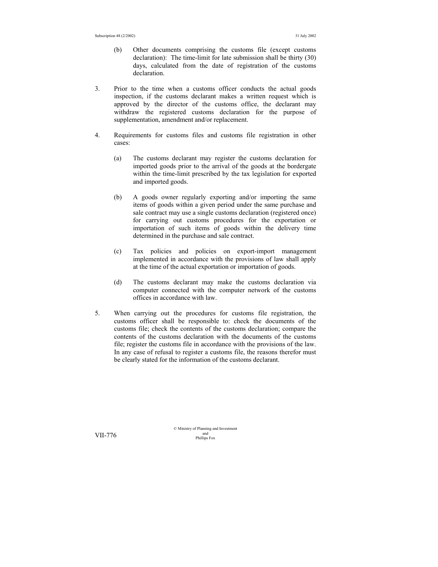- (b) Other documents comprising the customs file (except customs declaration): The time-limit for late submission shall be thirty (30) days, calculated from the date of registration of the customs declaration.
- 3. Prior to the time when a customs officer conducts the actual goods inspection, if the customs declarant makes a written request which is approved by the director of the customs office, the declarant may withdraw the registered customs declaration for the purpose of supplementation, amendment and/or replacement.
- 4. Requirements for customs files and customs file registration in other cases:
	- (a) The customs declarant may register the customs declaration for imported goods prior to the arrival of the goods at the bordergate within the time-limit prescribed by the tax legislation for exported and imported goods.
	- (b) A goods owner regularly exporting and/or importing the same items of goods within a given period under the same purchase and sale contract may use a single customs declaration (registered once) for carrying out customs procedures for the exportation or importation of such items of goods within the delivery time determined in the purchase and sale contract.
	- (c) Tax policies and policies on export-import management implemented in accordance with the provisions of law shall apply at the time of the actual exportation or importation of goods.
	- (d) The customs declarant may make the customs declaration via computer connected with the computer network of the customs offices in accordance with law.
- 5. When carrying out the procedures for customs file registration, the customs officer shall be responsible to: check the documents of the customs file; check the contents of the customs declaration; compare the contents of the customs declaration with the documents of the customs file; register the customs file in accordance with the provisions of the law. In any case of refusal to register a customs file, the reasons therefor must be clearly stated for the information of the customs declarant.

© Ministry of Planning and Investment and VII-776 Phillips Fox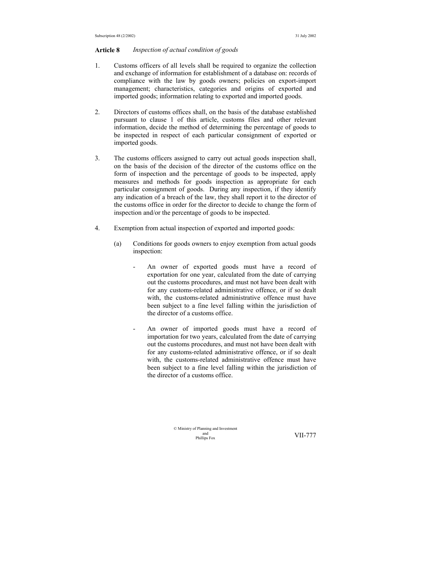#### **Article 8** *Inspection of actual condition of goods*

- 1. Customs officers of all levels shall be required to organize the collection and exchange of information for establishment of a database on: records of compliance with the law by goods owners; policies on export-import management; characteristics, categories and origins of exported and imported goods; information relating to exported and imported goods.
- 2. Directors of customs offices shall, on the basis of the database established pursuant to clause 1 of this article, customs files and other relevant information, decide the method of determining the percentage of goods to be inspected in respect of each particular consignment of exported or imported goods.
- 3. The customs officers assigned to carry out actual goods inspection shall, on the basis of the decision of the director of the customs office on the form of inspection and the percentage of goods to be inspected, apply measures and methods for goods inspection as appropriate for each particular consignment of goods. During any inspection, if they identify any indication of a breach of the law, they shall report it to the director of the customs office in order for the director to decide to change the form of inspection and/or the percentage of goods to be inspected.
- 4. Exemption from actual inspection of exported and imported goods:
	- (a) Conditions for goods owners to enjoy exemption from actual goods inspection:
		- An owner of exported goods must have a record of exportation for one year, calculated from the date of carrying out the customs procedures, and must not have been dealt with for any customs-related administrative offence, or if so dealt with, the customs-related administrative offence must have been subject to a fine level falling within the jurisdiction of the director of a customs office.
		- An owner of imported goods must have a record of importation for two years, calculated from the date of carrying out the customs procedures, and must not have been dealt with for any customs-related administrative offence, or if so dealt with, the customs-related administrative offence must have been subject to a fine level falling within the jurisdiction of the director of a customs office.

© Ministry of Planning and Investment and<br>Phillins Fox

VII-777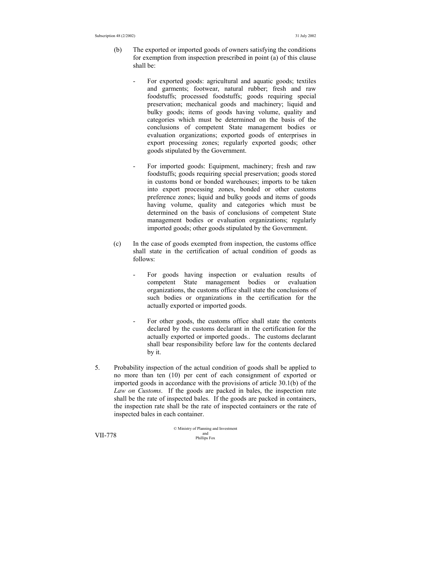- (b) The exported or imported goods of owners satisfying the conditions for exemption from inspection prescribed in point (a) of this clause shall be:
	- For exported goods: agricultural and aquatic goods; textiles and garments; footwear, natural rubber; fresh and raw foodstuffs; processed foodstuffs; goods requiring special preservation; mechanical goods and machinery; liquid and bulky goods; items of goods having volume, quality and categories which must be determined on the basis of the conclusions of competent State management bodies or evaluation organizations; exported goods of enterprises in export processing zones; regularly exported goods; other goods stipulated by the Government.
	- For imported goods: Equipment, machinery; fresh and raw foodstuffs; goods requiring special preservation; goods stored in customs bond or bonded warehouses; imports to be taken into export processing zones, bonded or other customs preference zones; liquid and bulky goods and items of goods having volume, quality and categories which must be determined on the basis of conclusions of competent State management bodies or evaluation organizations; regularly imported goods; other goods stipulated by the Government.
- (c) In the case of goods exempted from inspection, the customs office shall state in the certification of actual condition of goods as follows:
	- For goods having inspection or evaluation results of competent State management bodies or evaluation organizations, the customs office shall state the conclusions of such bodies or organizations in the certification for the actually exported or imported goods.
	- For other goods, the customs office shall state the contents declared by the customs declarant in the certification for the actually exported or imported goods.. The customs declarant shall bear responsibility before law for the contents declared by it.
- 5. Probability inspection of the actual condition of goods shall be applied to no more than ten (10) per cent of each consignment of exported or imported goods in accordance with the provisions of article 30.1(b) of the *Law on Customs*. If the goods are packed in bales, the inspection rate shall be the rate of inspected bales. If the goods are packed in containers, the inspection rate shall be the rate of inspected containers or the rate of inspected bales in each container.

© Ministry of Planning and Investment and VII-778 Phillips Fox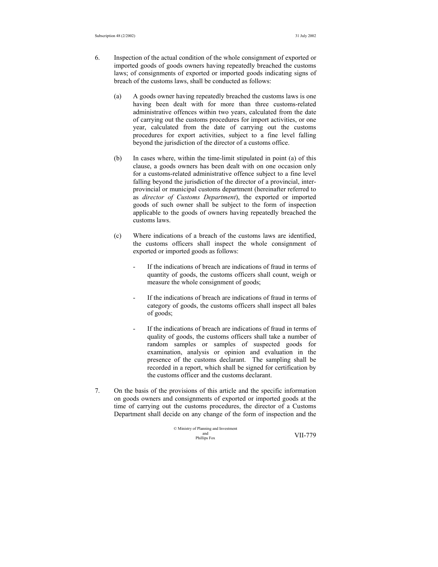- 6. Inspection of the actual condition of the whole consignment of exported or imported goods of goods owners having repeatedly breached the customs laws; of consignments of exported or imported goods indicating signs of breach of the customs laws, shall be conducted as follows:
	- (a) A goods owner having repeatedly breached the customs laws is one having been dealt with for more than three customs-related administrative offences within two years, calculated from the date of carrying out the customs procedures for import activities, or one year, calculated from the date of carrying out the customs procedures for export activities, subject to a fine level falling beyond the jurisdiction of the director of a customs office.
	- (b) In cases where, within the time-limit stipulated in point (a) of this clause, a goods owners has been dealt with on one occasion only for a customs-related administrative offence subject to a fine level falling beyond the jurisdiction of the director of a provincial, interprovincial or municipal customs department (hereinafter referred to as *director of Customs Department*), the exported or imported goods of such owner shall be subject to the form of inspection applicable to the goods of owners having repeatedly breached the customs laws.
	- (c) Where indications of a breach of the customs laws are identified, the customs officers shall inspect the whole consignment of exported or imported goods as follows:
		- If the indications of breach are indications of fraud in terms of quantity of goods, the customs officers shall count, weigh or measure the whole consignment of goods;
		- If the indications of breach are indications of fraud in terms of category of goods, the customs officers shall inspect all bales of goods;
		- If the indications of breach are indications of fraud in terms of quality of goods, the customs officers shall take a number of random samples or samples of suspected goods for examination, analysis or opinion and evaluation in the presence of the customs declarant. The sampling shall be recorded in a report, which shall be signed for certification by the customs officer and the customs declarant.
- 7. On the basis of the provisions of this article and the specific information on goods owners and consignments of exported or imported goods at the time of carrying out the customs procedures, the director of a Customs Department shall decide on any change of the form of inspection and the

© Ministry of Planning and Investment and Phillips Fox VII-779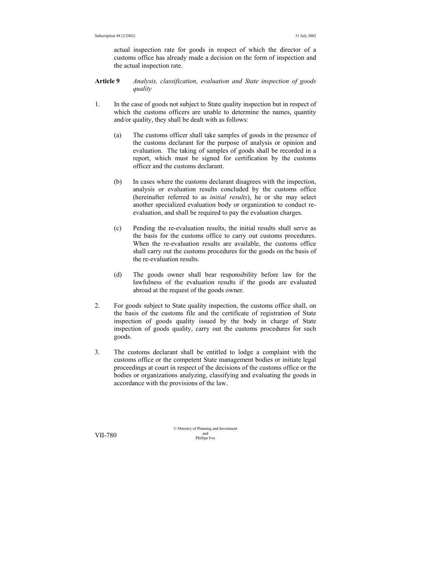actual inspection rate for goods in respect of which the director of a customs office has already made a decision on the form of inspection and the actual inspection rate.

- **Article 9** *Analysis, classification, evaluation and State inspection of goods quality*
- 1. In the case of goods not subject to State quality inspection but in respect of which the customs officers are unable to determine the names, quantity and/or quality, they shall be dealt with as follows:
	- (a) The customs officer shall take samples of goods in the presence of the customs declarant for the purpose of analysis or opinion and evaluation. The taking of samples of goods shall be recorded in a report, which must be signed for certification by the customs officer and the customs declarant.
	- (b) In cases where the customs declarant disagrees with the inspection, analysis or evaluation results concluded by the customs office (hereinafter referred to as *initial results*), he or she may select another specialized evaluation body or organization to conduct reevaluation, and shall be required to pay the evaluation charges.
	- (c) Pending the re-evaluation results, the initial results shall serve as the basis for the customs office to carry out customs procedures. When the re-evaluation results are available, the customs office shall carry out the customs procedures for the goods on the basis of the re-evaluation results.
	- (d) The goods owner shall bear responsibility before law for the lawfulness of the evaluation results if the goods are evaluated abroad at the request of the goods owner.
- 2. For goods subject to State quality inspection, the customs office shall, on the basis of the customs file and the certificate of registration of State inspection of goods quality issued by the body in charge of State inspection of goods quality, carry out the customs procedures for such goods.
- 3. The customs declarant shall be entitled to lodge a complaint with the customs office or the competent State management bodies or initiate legal proceedings at court in respect of the decisions of the customs office or the bodies or organizations analyzing, classifying and evaluating the goods in accordance with the provisions of the law.

© Ministry of Planning and Investment and VII-780 Phillips Fox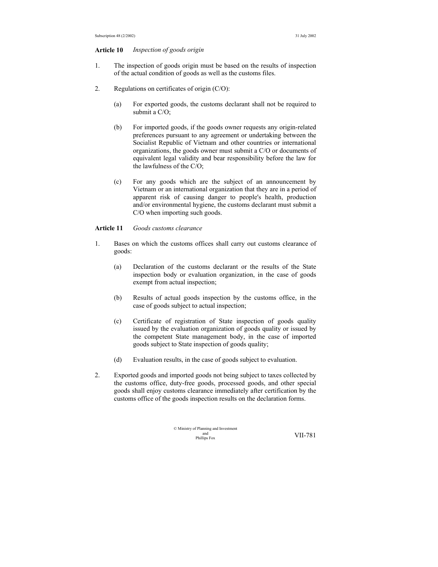#### **Article 10** *Inspection of goods origin*

- 1. The inspection of goods origin must be based on the results of inspection of the actual condition of goods as well as the customs files.
- 2. Regulations on certificates of origin (C/O):
	- (a) For exported goods, the customs declarant shall not be required to submit a C/O;
	- (b) For imported goods, if the goods owner requests any origin-related preferences pursuant to any agreement or undertaking between the Socialist Republic of Vietnam and other countries or international organizations, the goods owner must submit a C/O or documents of equivalent legal validity and bear responsibility before the law for the lawfulness of the C/O;
	- (c) For any goods which are the subject of an announcement by Vietnam or an international organization that they are in a period of apparent risk of causing danger to people's health, production and/or environmental hygiene, the customs declarant must submit a C/O when importing such goods.

## **Article 11** *Goods customs clearance*

- 1. Bases on which the customs offices shall carry out customs clearance of goods:
	- (a) Declaration of the customs declarant or the results of the State inspection body or evaluation organization, in the case of goods exempt from actual inspection;
	- (b) Results of actual goods inspection by the customs office, in the case of goods subject to actual inspection;
	- (c) Certificate of registration of State inspection of goods quality issued by the evaluation organization of goods quality or issued by the competent State management body, in the case of imported goods subject to State inspection of goods quality;
	- (d) Evaluation results, in the case of goods subject to evaluation.
- 2. Exported goods and imported goods not being subject to taxes collected by the customs office, duty-free goods, processed goods, and other special goods shall enjoy customs clearance immediately after certification by the customs office of the goods inspection results on the declaration forms.

| © Ministry of Planning and Investment |         |
|---------------------------------------|---------|
| and                                   | VII-781 |
| Phillips Fox                          |         |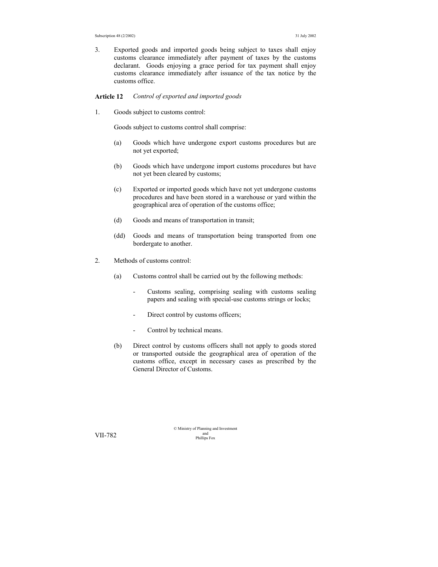3. Exported goods and imported goods being subject to taxes shall enjoy customs clearance immediately after payment of taxes by the customs declarant. Goods enjoying a grace period for tax payment shall enjoy customs clearance immediately after issuance of the tax notice by the customs office.

**Article 12** *Control of exported and imported goods* 

1. Goods subject to customs control:

Goods subject to customs control shall comprise:

- (a) Goods which have undergone export customs procedures but are not yet exported;
- (b) Goods which have undergone import customs procedures but have not yet been cleared by customs;
- (c) Exported or imported goods which have not yet undergone customs procedures and have been stored in a warehouse or yard within the geographical area of operation of the customs office;
- (d) Goods and means of transportation in transit;
- (dd) Goods and means of transportation being transported from one bordergate to another.
- 2. Methods of customs control:
	- (a) Customs control shall be carried out by the following methods:
		- Customs sealing, comprising sealing with customs sealing papers and sealing with special-use customs strings or locks;
		- Direct control by customs officers;
		- Control by technical means.
	- (b) Direct control by customs officers shall not apply to goods stored or transported outside the geographical area of operation of the customs office, except in necessary cases as prescribed by the General Director of Customs.

© Ministry of Planning and Investment and VII-782 Phillips Fox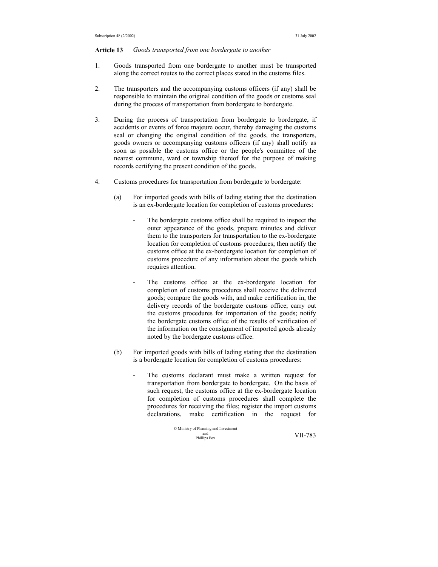#### **Article 13** *Goods transported from one bordergate to another*

- 1. Goods transported from one bordergate to another must be transported along the correct routes to the correct places stated in the customs files.
- 2. The transporters and the accompanying customs officers (if any) shall be responsible to maintain the original condition of the goods or customs seal during the process of transportation from bordergate to bordergate.
- 3. During the process of transportation from bordergate to bordergate, if accidents or events of force majeure occur, thereby damaging the customs seal or changing the original condition of the goods, the transporters, goods owners or accompanying customs officers (if any) shall notify as soon as possible the customs office or the people's committee of the nearest commune, ward or township thereof for the purpose of making records certifying the present condition of the goods.
- 4. Customs procedures for transportation from bordergate to bordergate:
	- (a) For imported goods with bills of lading stating that the destination is an ex-bordergate location for completion of customs procedures:
		- The bordergate customs office shall be required to inspect the outer appearance of the goods, prepare minutes and deliver them to the transporters for transportation to the ex-bordergate location for completion of customs procedures; then notify the customs office at the ex-bordergate location for completion of customs procedure of any information about the goods which requires attention.
		- The customs office at the ex-bordergate location for completion of customs procedures shall receive the delivered goods; compare the goods with, and make certification in, the delivery records of the bordergate customs office; carry out the customs procedures for importation of the goods; notify the bordergate customs office of the results of verification of the information on the consignment of imported goods already noted by the bordergate customs office.
	- (b) For imported goods with bills of lading stating that the destination is a bordergate location for completion of customs procedures:
		- The customs declarant must make a written request for transportation from bordergate to bordergate. On the basis of such request, the customs office at the ex-bordergate location for completion of customs procedures shall complete the procedures for receiving the files; register the import customs declarations, make certification in the request for

$$
\begin{array}{ll}\n\textcirc\; \text{Ministry of Planning and Investment} \\
\text{while} & \text{S-For} \\
\text{Philip Fox}\n\end{array}\n\qquad \qquad \text{VII-783}
$$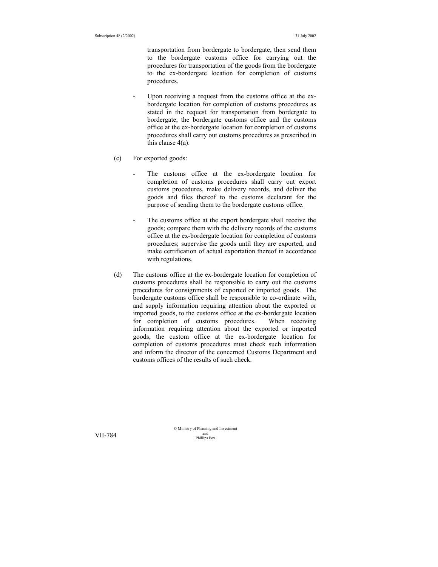transportation from bordergate to bordergate, then send them to the bordergate customs office for carrying out the procedures for transportation of the goods from the bordergate to the ex-bordergate location for completion of customs procedures.

- Upon receiving a request from the customs office at the exbordergate location for completion of customs procedures as stated in the request for transportation from bordergate to bordergate, the bordergate customs office and the customs office at the ex-bordergate location for completion of customs procedures shall carry out customs procedures as prescribed in this clause 4(a).
- (c) For exported goods:
	- The customs office at the ex-bordergate location for completion of customs procedures shall carry out export customs procedures, make delivery records, and deliver the goods and files thereof to the customs declarant for the purpose of sending them to the bordergate customs office.
	- The customs office at the export bordergate shall receive the goods; compare them with the delivery records of the customs office at the ex-bordergate location for completion of customs procedures; supervise the goods until they are exported, and make certification of actual exportation thereof in accordance with regulations.
- (d) The customs office at the ex-bordergate location for completion of customs procedures shall be responsible to carry out the customs procedures for consignments of exported or imported goods. The bordergate customs office shall be responsible to co-ordinate with, and supply information requiring attention about the exported or imported goods, to the customs office at the ex-bordergate location for completion of customs procedures. When receiving information requiring attention about the exported or imported goods, the custom office at the ex-bordergate location for completion of customs procedures must check such information and inform the director of the concerned Customs Department and customs offices of the results of such check.

© Ministry of Planning and Investment and VII-784 Phillips Fox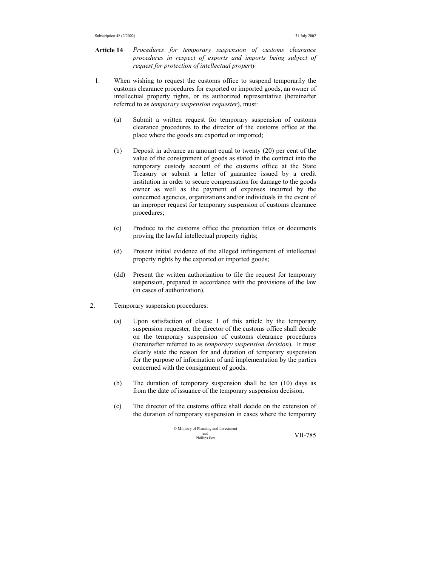- **Article 14** *Procedures for temporary suspension of customs clearance procedures in respect of exports and imports being subject of request for protection of intellectual property*
- 1. When wishing to request the customs office to suspend temporarily the customs clearance procedures for exported or imported goods, an owner of intellectual property rights, or its authorized representative (hereinafter referred to as *temporary suspension requester*), must:
	- (a) Submit a written request for temporary suspension of customs clearance procedures to the director of the customs office at the place where the goods are exported or imported;
	- (b) Deposit in advance an amount equal to twenty (20) per cent of the value of the consignment of goods as stated in the contract into the temporary custody account of the customs office at the State Treasury or submit a letter of guarantee issued by a credit institution in order to secure compensation for damage to the goods owner as well as the payment of expenses incurred by the concerned agencies, organizations and/or individuals in the event of an improper request for temporary suspension of customs clearance procedures;
	- (c) Produce to the customs office the protection titles or documents proving the lawful intellectual property rights;
	- (d) Present initial evidence of the alleged infringement of intellectual property rights by the exported or imported goods;
	- (dd) Present the written authorization to file the request for temporary suspension, prepared in accordance with the provisions of the law (in cases of authorization).
- 2. Temporary suspension procedures:
	- (a) Upon satisfaction of clause 1 of this article by the temporary suspension requester, the director of the customs office shall decide on the temporary suspension of customs clearance procedures (hereinafter referred to as *temporary suspension decision*). It must clearly state the reason for and duration of temporary suspension for the purpose of information of and implementation by the parties concerned with the consignment of goods.
	- (b) The duration of temporary suspension shall be ten (10) days as from the date of issuance of the temporary suspension decision.
	- (c) The director of the customs office shall decide on the extension of the duration of temporary suspension in cases where the temporary

© Ministry of Planning and Investment and Phillips Fox VII-785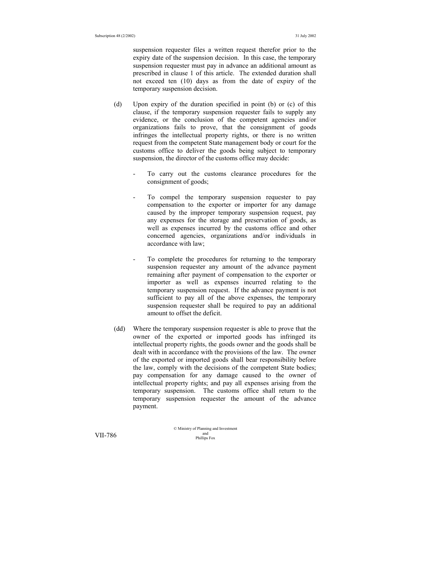suspension requester files a written request therefor prior to the expiry date of the suspension decision. In this case, the temporary suspension requester must pay in advance an additional amount as prescribed in clause 1 of this article. The extended duration shall not exceed ten (10) days as from the date of expiry of the temporary suspension decision.

- (d) Upon expiry of the duration specified in point (b) or (c) of this clause, if the temporary suspension requester fails to supply any evidence, or the conclusion of the competent agencies and/or organizations fails to prove, that the consignment of goods infringes the intellectual property rights, or there is no written request from the competent State management body or court for the customs office to deliver the goods being subject to temporary suspension, the director of the customs office may decide:
	- To carry out the customs clearance procedures for the consignment of goods;
	- To compel the temporary suspension requester to pay compensation to the exporter or importer for any damage caused by the improper temporary suspension request, pay any expenses for the storage and preservation of goods, as well as expenses incurred by the customs office and other concerned agencies, organizations and/or individuals in accordance with law;
	- To complete the procedures for returning to the temporary suspension requester any amount of the advance payment remaining after payment of compensation to the exporter or importer as well as expenses incurred relating to the temporary suspension request. If the advance payment is not sufficient to pay all of the above expenses, the temporary suspension requester shall be required to pay an additional amount to offset the deficit.
- (dd) Where the temporary suspension requester is able to prove that the owner of the exported or imported goods has infringed its intellectual property rights, the goods owner and the goods shall be dealt with in accordance with the provisions of the law. The owner of the exported or imported goods shall bear responsibility before the law, comply with the decisions of the competent State bodies; pay compensation for any damage caused to the owner of intellectual property rights; and pay all expenses arising from the temporary suspension. The customs office shall return to the temporary suspension requester the amount of the advance payment.

© Ministry of Planning and Investment and VII-786 Phillips Fox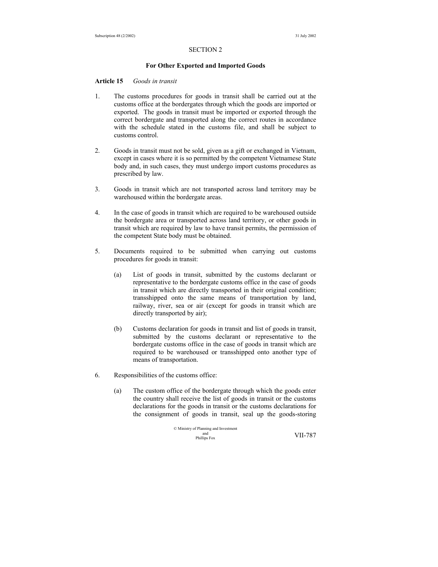### SECTION 2

#### **For Other Exported and Imported Goods**

## **Article 15** *Goods in transit*

- 1. The customs procedures for goods in transit shall be carried out at the customs office at the bordergates through which the goods are imported or exported. The goods in transit must be imported or exported through the correct bordergate and transported along the correct routes in accordance with the schedule stated in the customs file, and shall be subject to customs control.
- 2. Goods in transit must not be sold, given as a gift or exchanged in Vietnam, except in cases where it is so permitted by the competent Vietnamese State body and, in such cases, they must undergo import customs procedures as prescribed by law.
- 3. Goods in transit which are not transported across land territory may be warehoused within the bordergate areas.
- 4. In the case of goods in transit which are required to be warehoused outside the bordergate area or transported across land territory, or other goods in transit which are required by law to have transit permits, the permission of the competent State body must be obtained.
- 5. Documents required to be submitted when carrying out customs procedures for goods in transit:
	- (a) List of goods in transit, submitted by the customs declarant or representative to the bordergate customs office in the case of goods in transit which are directly transported in their original condition; transshipped onto the same means of transportation by land, railway, river, sea or air (except for goods in transit which are directly transported by air);
	- (b) Customs declaration for goods in transit and list of goods in transit, submitted by the customs declarant or representative to the bordergate customs office in the case of goods in transit which are required to be warehoused or transshipped onto another type of means of transportation.
- 6. Responsibilities of the customs office:
	- (a) The custom office of the bordergate through which the goods enter the country shall receive the list of goods in transit or the customs declarations for the goods in transit or the customs declarations for the consignment of goods in transit, seal up the goods-storing

© Ministry of Planning and Investment and Phillips Fox VII-787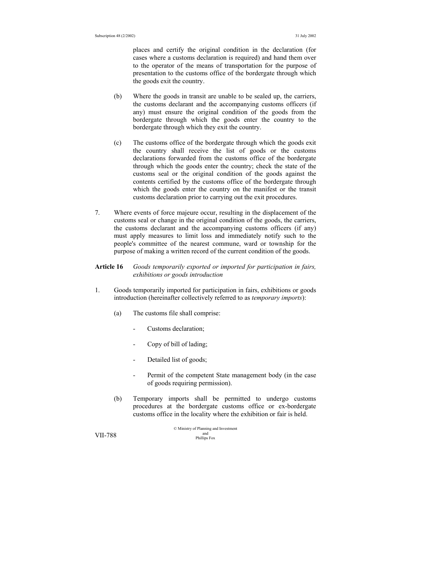places and certify the original condition in the declaration (for cases where a customs declaration is required) and hand them over to the operator of the means of transportation for the purpose of presentation to the customs office of the bordergate through which the goods exit the country.

- (b) Where the goods in transit are unable to be sealed up, the carriers, the customs declarant and the accompanying customs officers (if any) must ensure the original condition of the goods from the bordergate through which the goods enter the country to the bordergate through which they exit the country.
- (c) The customs office of the bordergate through which the goods exit the country shall receive the list of goods or the customs declarations forwarded from the customs office of the bordergate through which the goods enter the country; check the state of the customs seal or the original condition of the goods against the contents certified by the customs office of the bordergate through which the goods enter the country on the manifest or the transit customs declaration prior to carrying out the exit procedures.
- 7. Where events of force majeure occur, resulting in the displacement of the customs seal or change in the original condition of the goods, the carriers, the customs declarant and the accompanying customs officers (if any) must apply measures to limit loss and immediately notify such to the people's committee of the nearest commune, ward or township for the purpose of making a written record of the current condition of the goods.

## **Article 16** *Goods temporarily exported or imported for participation in fairs, exhibitions or goods introduction*

- 1. Goods temporarily imported for participation in fairs, exhibitions or goods introduction (hereinafter collectively referred to as *temporary imports*):
	- (a) The customs file shall comprise:
		- Customs declaration;
		- Copy of bill of lading;
		- Detailed list of goods;
		- Permit of the competent State management body (in the case of goods requiring permission).
	- (b) Temporary imports shall be permitted to undergo customs procedures at the bordergate customs office or ex-bordergate customs office in the locality where the exhibition or fair is held.

© Ministry of Planning and Investment and VII-788 Phillips Fox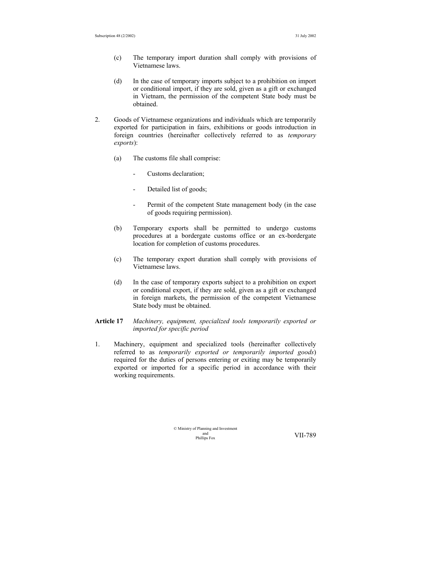- (c) The temporary import duration shall comply with provisions of Vietnamese laws.
- (d) In the case of temporary imports subject to a prohibition on import or conditional import, if they are sold, given as a gift or exchanged in Vietnam, the permission of the competent State body must be obtained.
- 2. Goods of Vietnamese organizations and individuals which are temporarily exported for participation in fairs, exhibitions or goods introduction in foreign countries (hereinafter collectively referred to as *temporary exports*):
	- (a) The customs file shall comprise:
		- Customs declaration;
		- Detailed list of goods;
		- Permit of the competent State management body (in the case of goods requiring permission).
	- (b) Temporary exports shall be permitted to undergo customs procedures at a bordergate customs office or an ex-bordergate location for completion of customs procedures.
	- (c) The temporary export duration shall comply with provisions of Vietnamese laws.
	- (d) In the case of temporary exports subject to a prohibition on export or conditional export, if they are sold, given as a gift or exchanged in foreign markets, the permission of the competent Vietnamese State body must be obtained.

## **Article 17** *Machinery, equipment, specialized tools temporarily exported or imported for specific period*

1. Machinery, equipment and specialized tools (hereinafter collectively referred to as *temporarily exported or temporarily imported goods*) required for the duties of persons entering or exiting may be temporarily exported or imported for a specific period in accordance with their working requirements.

> © Ministry of Planning and Investment and<br>Phillips Fox

VII-789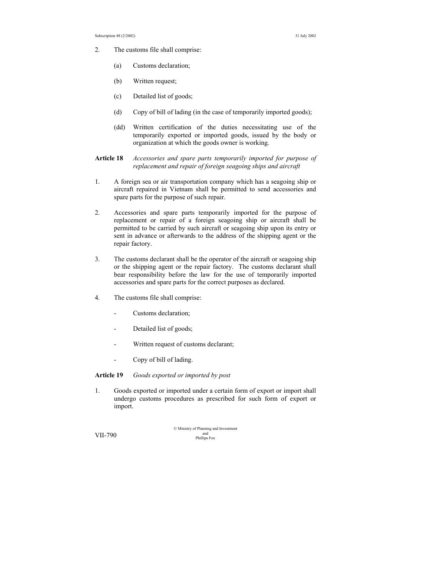- 2. The customs file shall comprise:
	- (a) Customs declaration;
	- (b) Written request;
	- (c) Detailed list of goods;
	- (d) Copy of bill of lading (in the case of temporarily imported goods);
	- (dd) Written certification of the duties necessitating use of the temporarily exported or imported goods, issued by the body or organization at which the goods owner is working.
- **Article 18** *Accessories and spare parts temporarily imported for purpose of replacement and repair of foreign seagoing ships and aircraft*
- 1. A foreign sea or air transportation company which has a seagoing ship or aircraft repaired in Vietnam shall be permitted to send accessories and spare parts for the purpose of such repair.
- 2. Accessories and spare parts temporarily imported for the purpose of replacement or repair of a foreign seagoing ship or aircraft shall be permitted to be carried by such aircraft or seagoing ship upon its entry or sent in advance or afterwards to the address of the shipping agent or the repair factory.
- 3. The customs declarant shall be the operator of the aircraft or seagoing ship or the shipping agent or the repair factory. The customs declarant shall bear responsibility before the law for the use of temporarily imported accessories and spare parts for the correct purposes as declared.
- 4. The customs file shall comprise:
	- Customs declaration;
	- Detailed list of goods;
	- Written request of customs declarant;
	- Copy of bill of lading.

## **Article 19** *Goods exported or imported by post*

1. Goods exported or imported under a certain form of export or import shall undergo customs procedures as prescribed for such form of export or import.

© Ministry of Planning and Investment and VII-790 Phillips Fox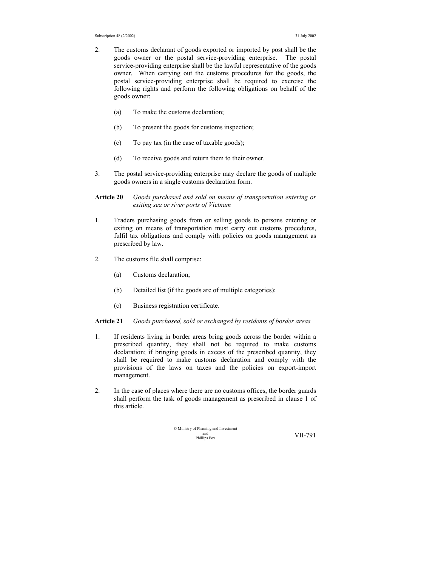- 2. The customs declarant of goods exported or imported by post shall be the goods owner or the postal service-providing enterprise. The postal service-providing enterprise shall be the lawful representative of the goods owner. When carrying out the customs procedures for the goods, the postal service-providing enterprise shall be required to exercise the following rights and perform the following obligations on behalf of the goods owner:
	- (a) To make the customs declaration;
	- (b) To present the goods for customs inspection;
	- (c) To pay tax (in the case of taxable goods);
	- (d) To receive goods and return them to their owner.
- 3. The postal service-providing enterprise may declare the goods of multiple goods owners in a single customs declaration form.
- **Article 20** *Goods purchased and sold on means of transportation entering or exiting sea or river ports of Vietnam*
- 1. Traders purchasing goods from or selling goods to persons entering or exiting on means of transportation must carry out customs procedures, fulfil tax obligations and comply with policies on goods management as prescribed by law.
- 2. The customs file shall comprise:
	- (a) Customs declaration;
	- (b) Detailed list (if the goods are of multiple categories);
	- (c) Business registration certificate.

#### **Article 21** *Goods purchased, sold or exchanged by residents of border areas*

- 1. If residents living in border areas bring goods across the border within a prescribed quantity, they shall not be required to make customs declaration; if bringing goods in excess of the prescribed quantity, they shall be required to make customs declaration and comply with the provisions of the laws on taxes and the policies on export-import management.
- 2. In the case of places where there are no customs offices, the border guards shall perform the task of goods management as prescribed in clause 1 of this article.

© Ministry of Planning and Investment and Phillips Fox VII-791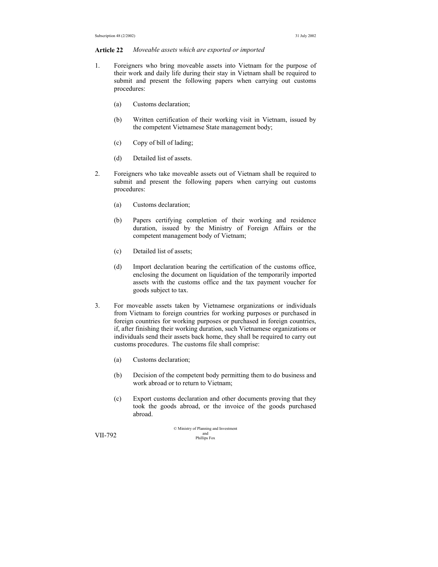#### **Article 22** *Moveable assets which are exported or imported*

- 1. Foreigners who bring moveable assets into Vietnam for the purpose of their work and daily life during their stay in Vietnam shall be required to submit and present the following papers when carrying out customs procedures:
	- (a) Customs declaration;
	- (b) Written certification of their working visit in Vietnam, issued by the competent Vietnamese State management body;
	- (c) Copy of bill of lading;
	- (d) Detailed list of assets.
- 2. Foreigners who take moveable assets out of Vietnam shall be required to submit and present the following papers when carrying out customs procedures:
	- (a) Customs declaration;
	- (b) Papers certifying completion of their working and residence duration, issued by the Ministry of Foreign Affairs or the competent management body of Vietnam;
	- (c) Detailed list of assets;
	- (d) Import declaration bearing the certification of the customs office, enclosing the document on liquidation of the temporarily imported assets with the customs office and the tax payment voucher for goods subject to tax.
- 3. For moveable assets taken by Vietnamese organizations or individuals from Vietnam to foreign countries for working purposes or purchased in foreign countries for working purposes or purchased in foreign countries, if, after finishing their working duration, such Vietnamese organizations or individuals send their assets back home, they shall be required to carry out customs procedures. The customs file shall comprise:
	- (a) Customs declaration;
	- (b) Decision of the competent body permitting them to do business and work abroad or to return to Vietnam;
	- (c) Export customs declaration and other documents proving that they took the goods abroad, or the invoice of the goods purchased abroad.

© Ministry of Planning and Investment and VII-792 Phillips Fox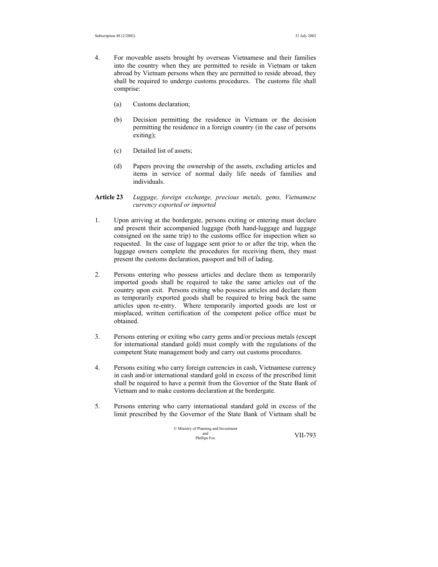- 4. For moveable assets brought by overseas Vietnamese and their families into the country when they are permitted to reside in Vietnam or taken abroad by Vietnam persons when they are permitted to reside abroad, they shall be required to undergo customs procedures. The customs file shall comprise:
	- (a) Customs declaration;
	- (b) Decision permitting the residence in Vietnam or the decision permitting the residence in a foreign country (in the case of persons exiting);
	- (c) Detailed list of assets;
	- (d) Papers proving the ownership of the assets, excluding articles and items in service of normal daily life needs of families and individuals.
- **Article 23** *Luggage, foreign exchange, precious metals, gems, Vietnamese currency exported or imported*
- 1. Upon arriving at the bordergate, persons exiting or entering must declare and present their accompanied luggage (both hand-luggage and luggage consigned on the same trip) to the customs office for inspection when so requested. In the case of luggage sent prior to or after the trip, when the luggage owners complete the procedures for receiving them, they must present the customs declaration, passport and bill of lading.
- 2. Persons entering who possess articles and declare them as temporarily imported goods shall be required to take the same articles out of the country upon exit. Persons exiting who possess articles and declare them as temporarily exported goods shall be required to bring back the same articles upon re-entry. Where temporarily imported goods are lost or misplaced, written certification of the competent police office must be obtained.
- 3. Persons entering or exiting who carry gems and/or precious metals (except for international standard gold) must comply with the regulations of the competent State management body and carry out customs procedures.
- 4. Persons exiting who carry foreign currencies in cash, Vietnamese currency in cash and/or international standard gold in excess of the prescribed limit shall be required to have a permit from the Governor of the State Bank of Vietnam and to make customs declaration at the bordergate.
- 5. Persons entering who carry international standard gold in excess of the limit prescribed by the Governor of the State Bank of Vietnam shall be

© Ministry of Planning and Investment and Phillips Fox VII-793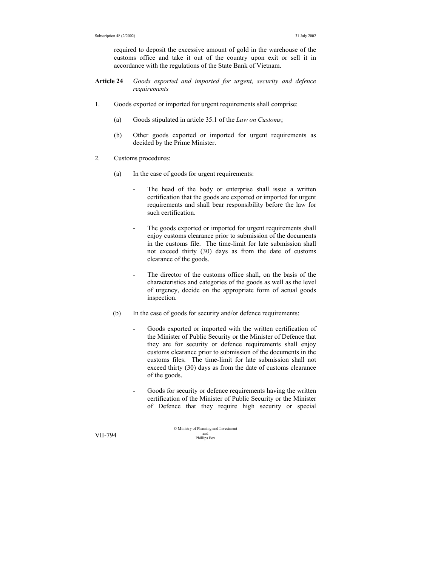required to deposit the excessive amount of gold in the warehouse of the customs office and take it out of the country upon exit or sell it in accordance with the regulations of the State Bank of Vietnam.

- **Article 24** *Goods exported and imported for urgent, security and defence requirements*
- 1. Goods exported or imported for urgent requirements shall comprise:
	- (a) Goods stipulated in article 35.1 of the *Law on Customs*;
	- (b) Other goods exported or imported for urgent requirements as decided by the Prime Minister.
- 2. Customs procedures:
	- (a) In the case of goods for urgent requirements:
		- The head of the body or enterprise shall issue a written certification that the goods are exported or imported for urgent requirements and shall bear responsibility before the law for such certification.
		- The goods exported or imported for urgent requirements shall enjoy customs clearance prior to submission of the documents in the customs file. The time-limit for late submission shall not exceed thirty (30) days as from the date of customs clearance of the goods.
		- The director of the customs office shall, on the basis of the characteristics and categories of the goods as well as the level of urgency, decide on the appropriate form of actual goods inspection.
	- (b) In the case of goods for security and/or defence requirements:
		- Goods exported or imported with the written certification of the Minister of Public Security or the Minister of Defence that they are for security or defence requirements shall enjoy customs clearance prior to submission of the documents in the customs files. The time-limit for late submission shall not exceed thirty (30) days as from the date of customs clearance of the goods.
		- Goods for security or defence requirements having the written certification of the Minister of Public Security or the Minister of Defence that they require high security or special

© Ministry of Planning and Investment and VII-794 Phillips Fox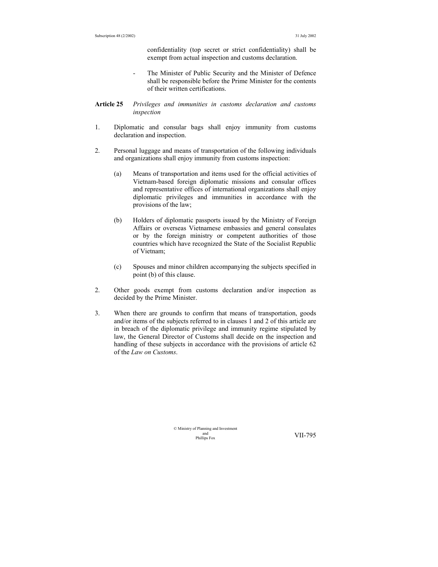confidentiality (top secret or strict confidentiality) shall be exempt from actual inspection and customs declaration.

- The Minister of Public Security and the Minister of Defence shall be responsible before the Prime Minister for the contents of their written certifications.
- **Article 25** *Privileges and immunities in customs declaration and customs inspection*
- 1. Diplomatic and consular bags shall enjoy immunity from customs declaration and inspection.
- 2. Personal luggage and means of transportation of the following individuals and organizations shall enjoy immunity from customs inspection:
	- (a) Means of transportation and items used for the official activities of Vietnam-based foreign diplomatic missions and consular offices and representative offices of international organizations shall enjoy diplomatic privileges and immunities in accordance with the provisions of the law;
	- (b) Holders of diplomatic passports issued by the Ministry of Foreign Affairs or overseas Vietnamese embassies and general consulates or by the foreign ministry or competent authorities of those countries which have recognized the State of the Socialist Republic of Vietnam;
	- (c) Spouses and minor children accompanying the subjects specified in point (b) of this clause.
- 2. Other goods exempt from customs declaration and/or inspection as decided by the Prime Minister.
- 3. When there are grounds to confirm that means of transportation, goods and/or items of the subjects referred to in clauses 1 and 2 of this article are in breach of the diplomatic privilege and immunity regime stipulated by law, the General Director of Customs shall decide on the inspection and handling of these subjects in accordance with the provisions of article 62 of the *Law on Customs*.

© Ministry of Planning and Investment and<br>Phillins Fox

VII-795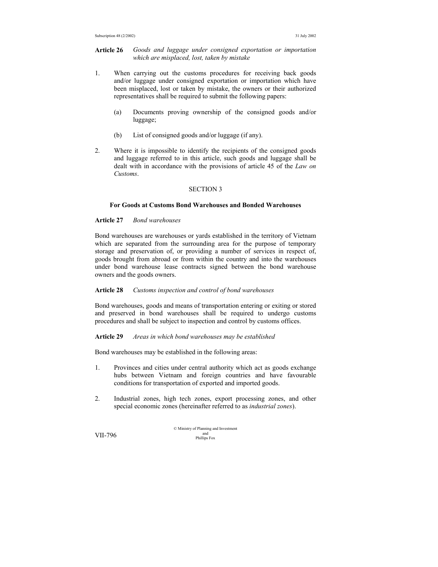## **Article 26** *Goods and luggage under consigned exportation or importation which are misplaced, lost, taken by mistake*

- 1. When carrying out the customs procedures for receiving back goods and/or luggage under consigned exportation or importation which have been misplaced, lost or taken by mistake, the owners or their authorized representatives shall be required to submit the following papers:
	- (a) Documents proving ownership of the consigned goods and/or luggage;
	- (b) List of consigned goods and/or luggage (if any).
- 2. Where it is impossible to identify the recipients of the consigned goods and luggage referred to in this article, such goods and luggage shall be dealt with in accordance with the provisions of article 45 of the *Law on Customs*.

## SECTION 3

## **For Goods at Customs Bond Warehouses and Bonded Warehouses**

## **Article 27** *Bond warehouses*

Bond warehouses are warehouses or yards established in the territory of Vietnam which are separated from the surrounding area for the purpose of temporary storage and preservation of, or providing a number of services in respect of, goods brought from abroad or from within the country and into the warehouses under bond warehouse lease contracts signed between the bond warehouse owners and the goods owners.

### **Article 28** *Customs inspection and control of bond warehouses*

Bond warehouses, goods and means of transportation entering or exiting or stored and preserved in bond warehouses shall be required to undergo customs procedures and shall be subject to inspection and control by customs offices.

#### **Article 29** *Areas in which bond warehouses may be established*

Bond warehouses may be established in the following areas:

- 1. Provinces and cities under central authority which act as goods exchange hubs between Vietnam and foreign countries and have favourable conditions for transportation of exported and imported goods.
- 2. Industrial zones, high tech zones, export processing zones, and other special economic zones (hereinafter referred to as *industrial zones*).

© Ministry of Planning and Investment  $VII-796$  and  $VII-796$  Phillips Fox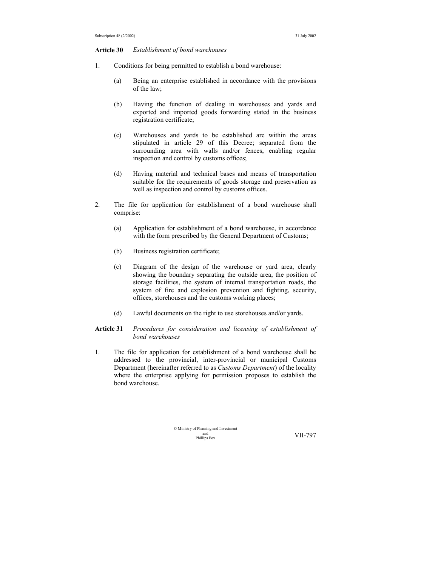#### **Article 30** *Establishment of bond warehouses*

- 1. Conditions for being permitted to establish a bond warehouse:
	- (a) Being an enterprise established in accordance with the provisions of the law;
	- (b) Having the function of dealing in warehouses and yards and exported and imported goods forwarding stated in the business registration certificate;
	- (c) Warehouses and yards to be established are within the areas stipulated in article 29 of this Decree; separated from the surrounding area with walls and/or fences, enabling regular inspection and control by customs offices;
	- (d) Having material and technical bases and means of transportation suitable for the requirements of goods storage and preservation as well as inspection and control by customs offices.
- 2. The file for application for establishment of a bond warehouse shall comprise:
	- (a) Application for establishment of a bond warehouse, in accordance with the form prescribed by the General Department of Customs;
	- (b) Business registration certificate;
	- (c) Diagram of the design of the warehouse or yard area, clearly showing the boundary separating the outside area, the position of storage facilities, the system of internal transportation roads, the system of fire and explosion prevention and fighting, security, offices, storehouses and the customs working places;
	- (d) Lawful documents on the right to use storehouses and/or yards.

## **Article 31** *Procedures for consideration and licensing of establishment of bond warehouses*

1. The file for application for establishment of a bond warehouse shall be addressed to the provincial, inter-provincial or municipal Customs Department (hereinafter referred to as *Customs Department*) of the locality where the enterprise applying for permission proposes to establish the bond warehouse.

> © Ministry of Planning and Investment and<br>Phillins Fox

VII-797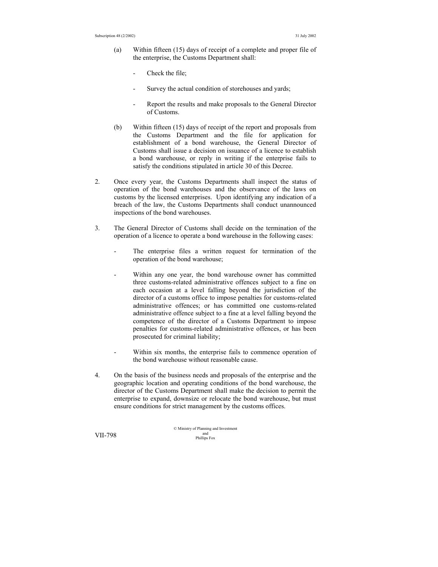- (a) Within fifteen (15) days of receipt of a complete and proper file of the enterprise, the Customs Department shall:
	- Check the file;
	- Survey the actual condition of storehouses and yards;
	- Report the results and make proposals to the General Director of Customs.
- (b) Within fifteen (15) days of receipt of the report and proposals from the Customs Department and the file for application for establishment of a bond warehouse, the General Director of Customs shall issue a decision on issuance of a licence to establish a bond warehouse, or reply in writing if the enterprise fails to satisfy the conditions stipulated in article 30 of this Decree.
- 2. Once every year, the Customs Departments shall inspect the status of operation of the bond warehouses and the observance of the laws on customs by the licensed enterprises. Upon identifying any indication of a breach of the law, the Customs Departments shall conduct unannounced inspections of the bond warehouses.
- 3. The General Director of Customs shall decide on the termination of the operation of a licence to operate a bond warehouse in the following cases:
	- The enterprise files a written request for termination of the operation of the bond warehouse;
	- Within any one year, the bond warehouse owner has committed three customs-related administrative offences subject to a fine on each occasion at a level falling beyond the jurisdiction of the director of a customs office to impose penalties for customs-related administrative offences; or has committed one customs-related administrative offence subject to a fine at a level falling beyond the competence of the director of a Customs Department to impose penalties for customs-related administrative offences, or has been prosecuted for criminal liability;
	- Within six months, the enterprise fails to commence operation of the bond warehouse without reasonable cause.
- 4. On the basis of the business needs and proposals of the enterprise and the geographic location and operating conditions of the bond warehouse, the director of the Customs Department shall make the decision to permit the enterprise to expand, downsize or relocate the bond warehouse, but must ensure conditions for strict management by the customs offices.

© Ministry of Planning and Investment and VII-798 Phillips Fox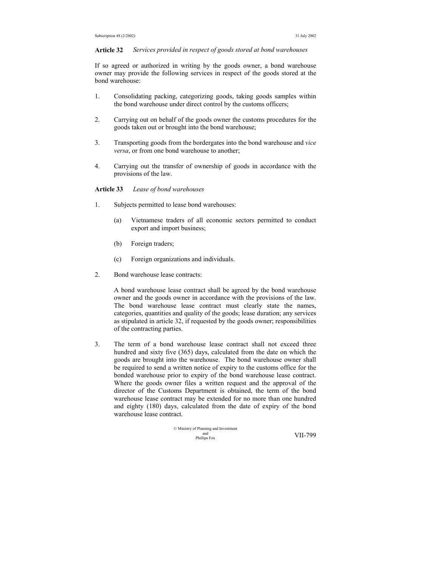#### **Article 32** *Services provided in respect of goods stored at bond warehouses*

If so agreed or authorized in writing by the goods owner, a bond warehouse owner may provide the following services in respect of the goods stored at the bond warehouse:

- 1. Consolidating packing, categorizing goods, taking goods samples within the bond warehouse under direct control by the customs officers;
- 2. Carrying out on behalf of the goods owner the customs procedures for the goods taken out or brought into the bond warehouse;
- 3. Transporting goods from the bordergates into the bond warehouse and *vice versa*, or from one bond warehouse to another;
- 4. Carrying out the transfer of ownership of goods in accordance with the provisions of the law.

**Article 33** *Lease of bond warehouses* 

- 1. Subjects permitted to lease bond warehouses:
	- (a) Vietnamese traders of all economic sectors permitted to conduct export and import business;
	- (b) Foreign traders;
	- (c) Foreign organizations and individuals.
- 2. Bond warehouse lease contracts:

A bond warehouse lease contract shall be agreed by the bond warehouse owner and the goods owner in accordance with the provisions of the law. The bond warehouse lease contract must clearly state the names, categories, quantities and quality of the goods; lease duration; any services as stipulated in article 32, if requested by the goods owner; responsibilities of the contracting parties.

3. The term of a bond warehouse lease contract shall not exceed three hundred and sixty five (365) days, calculated from the date on which the goods are brought into the warehouse. The bond warehouse owner shall be required to send a written notice of expiry to the customs office for the bonded warehouse prior to expiry of the bond warehouse lease contract. Where the goods owner files a written request and the approval of the director of the Customs Department is obtained, the term of the bond warehouse lease contract may be extended for no more than one hundred and eighty (180) days, calculated from the date of expiry of the bond warehouse lease contract.

$$
\begin{array}{ll}\n\textcirc\text{Ministry of Planning and Investment} \\
\text{and}\n\text{matrix Fox}\n\end{array}\n\quad \text{VII-799}
$$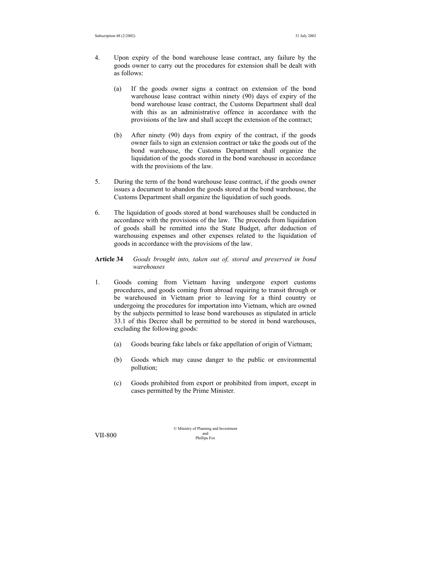- 4. Upon expiry of the bond warehouse lease contract, any failure by the goods owner to carry out the procedures for extension shall be dealt with as follows:
	- (a) If the goods owner signs a contract on extension of the bond warehouse lease contract within ninety (90) days of expiry of the bond warehouse lease contract, the Customs Department shall deal with this as an administrative offence in accordance with the provisions of the law and shall accept the extension of the contract;
	- (b) After ninety (90) days from expiry of the contract, if the goods owner fails to sign an extension contract or take the goods out of the bond warehouse, the Customs Department shall organize the liquidation of the goods stored in the bond warehouse in accordance with the provisions of the law.
- 5. During the term of the bond warehouse lease contract, if the goods owner issues a document to abandon the goods stored at the bond warehouse, the Customs Department shall organize the liquidation of such goods.
- 6. The liquidation of goods stored at bond warehouses shall be conducted in accordance with the provisions of the law. The proceeds from liquidation of goods shall be remitted into the State Budget, after deduction of warehousing expenses and other expenses related to the liquidation of goods in accordance with the provisions of the law.

## **Article 34** *Goods brought into, taken out of, stored and preserved in bond warehouses*

- 1. Goods coming from Vietnam having undergone export customs procedures, and goods coming from abroad requiring to transit through or be warehoused in Vietnam prior to leaving for a third country or undergoing the procedures for importation into Vietnam, which are owned by the subjects permitted to lease bond warehouses as stipulated in article 33.1 of this Decree shall be permitted to be stored in bond warehouses, excluding the following goods:
	- (a) Goods bearing fake labels or fake appellation of origin of Vietnam;
	- (b) Goods which may cause danger to the public or environmental pollution;
	- (c) Goods prohibited from export or prohibited from import, except in cases permitted by the Prime Minister.

© Ministry of Planning and Investment VII-800 and phillips Fox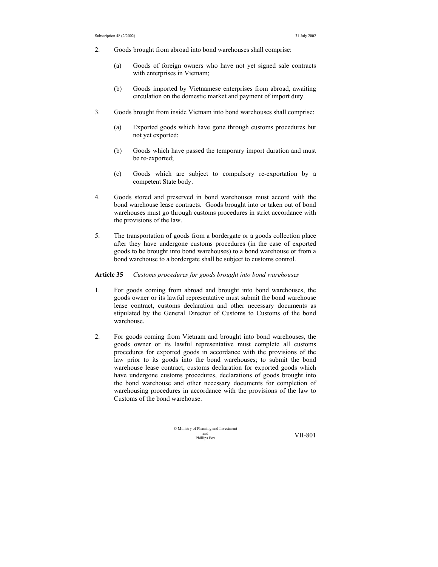- 2. Goods brought from abroad into bond warehouses shall comprise:
	- (a) Goods of foreign owners who have not yet signed sale contracts with enterprises in Vietnam;
	- (b) Goods imported by Vietnamese enterprises from abroad, awaiting circulation on the domestic market and payment of import duty.
- 3. Goods brought from inside Vietnam into bond warehouses shall comprise:
	- (a) Exported goods which have gone through customs procedures but not yet exported;
	- (b) Goods which have passed the temporary import duration and must be re-exported;
	- (c) Goods which are subject to compulsory re-exportation by a competent State body.
- 4. Goods stored and preserved in bond warehouses must accord with the bond warehouse lease contracts. Goods brought into or taken out of bond warehouses must go through customs procedures in strict accordance with the provisions of the law.
- 5. The transportation of goods from a bordergate or a goods collection place after they have undergone customs procedures (in the case of exported goods to be brought into bond warehouses) to a bond warehouse or from a bond warehouse to a bordergate shall be subject to customs control.

#### **Article 35** *Customs procedures for goods brought into bond warehouses*

- 1. For goods coming from abroad and brought into bond warehouses, the goods owner or its lawful representative must submit the bond warehouse lease contract, customs declaration and other necessary documents as stipulated by the General Director of Customs to Customs of the bond warehouse.
- 2. For goods coming from Vietnam and brought into bond warehouses, the goods owner or its lawful representative must complete all customs procedures for exported goods in accordance with the provisions of the law prior to its goods into the bond warehouses; to submit the bond warehouse lease contract, customs declaration for exported goods which have undergone customs procedures, declarations of goods brought into the bond warehouse and other necessary documents for completion of warehousing procedures in accordance with the provisions of the law to Customs of the bond warehouse.

© Ministry of Planning and Investment and Phillips Fox VII-801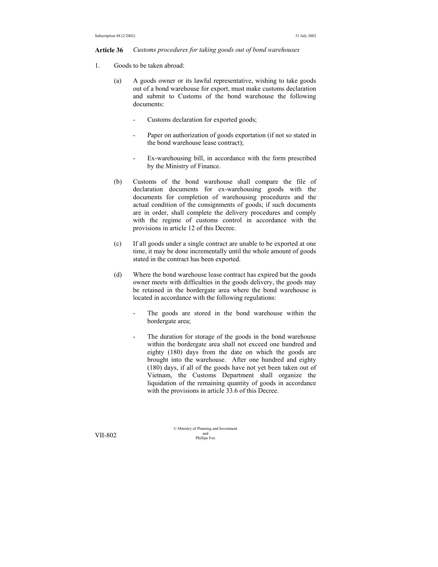#### **Article 36** *Customs procedures for taking goods out of bond warehouses*

- 1. Goods to be taken abroad:
	- (a) A goods owner or its lawful representative, wishing to take goods out of a bond warehouse for export, must make customs declaration and submit to Customs of the bond warehouse the following documents:
		- Customs declaration for exported goods;
		- Paper on authorization of goods exportation (if not so stated in the bond warehouse lease contract);
		- Ex-warehousing bill, in accordance with the form prescribed by the Ministry of Finance.
	- (b) Customs of the bond warehouse shall compare the file of declaration documents for ex-warehousing goods with the documents for completion of warehousing procedures and the actual condition of the consignments of goods; if such documents are in order, shall complete the delivery procedures and comply with the regime of customs control in accordance with the provisions in article 12 of this Decree.
	- (c) If all goods under a single contract are unable to be exported at one time, it may be done incrementally until the whole amount of goods stated in the contract has been exported.
	- (d) Where the bond warehouse lease contract has expired but the goods owner meets with difficulties in the goods delivery, the goods may be retained in the bordergate area where the bond warehouse is located in accordance with the following regulations:
		- The goods are stored in the bond warehouse within the bordergate area;
		- The duration for storage of the goods in the bond warehouse within the bordergate area shall not exceed one hundred and eighty (180) days from the date on which the goods are brought into the warehouse. After one hundred and eighty (180) days, if all of the goods have not yet been taken out of Vietnam, the Customs Department shall organize the liquidation of the remaining quantity of goods in accordance with the provisions in article 33.6 of this Decree.

© Ministry of Planning and Investment and VII-802 Phillips Fox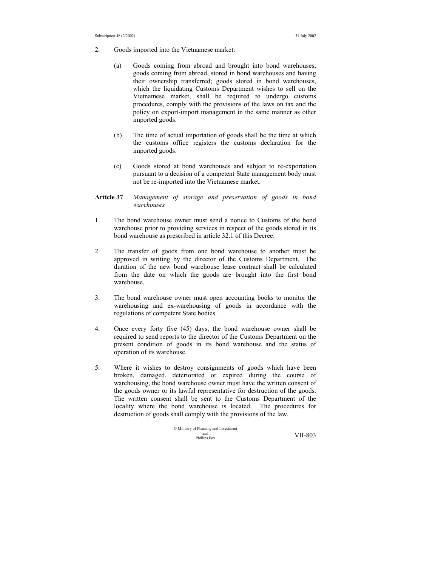- 2. Goods imported into the Vietnamese market:
	- (a) Goods coming from abroad and brought into bond warehouses; goods coming from abroad, stored in bond warehouses and having their ownership transferred; goods stored in bond warehouses, which the liquidating Customs Department wishes to sell on the Vietnamese market, shall be required to undergo customs procedures, comply with the provisions of the laws on tax and the policy on export-import management in the same manner as other imported goods.
	- (b) The time of actual importation of goods shall be the time at which the customs office registers the customs declaration for the imported goods.
	- (c) Goods stored at bond warehouses and subject to re-exportation pursuant to a decision of a competent State management body must not be re-imported into the Vietnamese market.

## **Article 37** *Management of storage and preservation of goods in bond warehouses*

- 1. The bond warehouse owner must send a notice to Customs of the bond warehouse prior to providing services in respect of the goods stored in its bond warehouse as prescribed in article 32.1 of this Decree.
- 2. The transfer of goods from one bond warehouse to another must be approved in writing by the director of the Customs Department. The duration of the new bond warehouse lease contract shall be calculated from the date on which the goods are brought into the first bond warehouse.
- 3. The bond warehouse owner must open accounting books to monitor the warehousing and ex-warehousing of goods in accordance with the regulations of competent State bodies.
- 4. Once every forty five (45) days, the bond warehouse owner shall be required to send reports to the director of the Customs Department on the present condition of goods in its bond warehouse and the status of operation of its warehouse.
- 5. Where it wishes to destroy consignments of goods which have been broken, damaged, deteriorated or expired during the course of warehousing, the bond warehouse owner must have the written consent of the goods owner or its lawful representative for destruction of the goods. The written consent shall be sent to the Customs Department of the locality where the bond warehouse is located. The procedures for destruction of goods shall comply with the provisions of the law.

© Ministry of Planning and Investment and Phillips Fox VII-803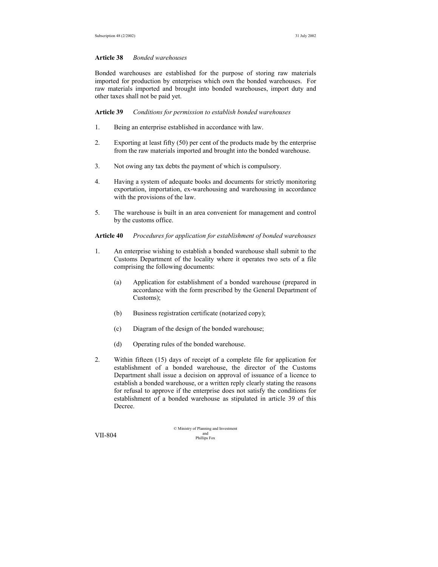#### **Article 38** *Bonded warehouses*

Bonded warehouses are established for the purpose of storing raw materials imported for production by enterprises which own the bonded warehouses. For raw materials imported and brought into bonded warehouses, import duty and other taxes shall not be paid yet.

**Article 39** *Conditions for permission to establish bonded warehouses* 

- 1. Being an enterprise established in accordance with law.
- 2. Exporting at least fifty (50) per cent of the products made by the enterprise from the raw materials imported and brought into the bonded warehouse.
- 3. Not owing any tax debts the payment of which is compulsory.
- 4. Having a system of adequate books and documents for strictly monitoring exportation, importation, ex-warehousing and warehousing in accordance with the provisions of the law.
- 5. The warehouse is built in an area convenient for management and control by the customs office.

**Article 40** *Procedures for application for establishment of bonded warehouses* 

- 1. An enterprise wishing to establish a bonded warehouse shall submit to the Customs Department of the locality where it operates two sets of a file comprising the following documents:
	- (a) Application for establishment of a bonded warehouse (prepared in accordance with the form prescribed by the General Department of Customs);
	- (b) Business registration certificate (notarized copy);
	- (c) Diagram of the design of the bonded warehouse;
	- (d) Operating rules of the bonded warehouse.
- 2. Within fifteen (15) days of receipt of a complete file for application for establishment of a bonded warehouse, the director of the Customs Department shall issue a decision on approval of issuance of a licence to establish a bonded warehouse, or a written reply clearly stating the reasons for refusal to approve if the enterprise does not satisfy the conditions for establishment of a bonded warehouse as stipulated in article 39 of this Decree.

© Ministry of Planning and Investment VII-804 and phillips Fox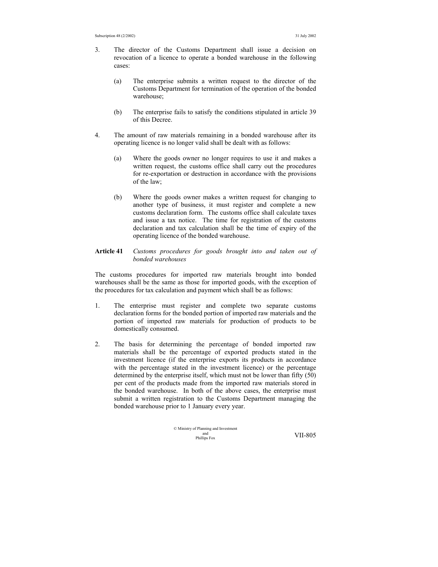- 3. The director of the Customs Department shall issue a decision on revocation of a licence to operate a bonded warehouse in the following cases:
	- (a) The enterprise submits a written request to the director of the Customs Department for termination of the operation of the bonded warehouse;
	- (b) The enterprise fails to satisfy the conditions stipulated in article 39 of this Decree.
- 4. The amount of raw materials remaining in a bonded warehouse after its operating licence is no longer valid shall be dealt with as follows:
	- (a) Where the goods owner no longer requires to use it and makes a written request, the customs office shall carry out the procedures for re-exportation or destruction in accordance with the provisions of the law;
	- (b) Where the goods owner makes a written request for changing to another type of business, it must register and complete a new customs declaration form. The customs office shall calculate taxes and issue a tax notice. The time for registration of the customs declaration and tax calculation shall be the time of expiry of the operating licence of the bonded warehouse.

## **Article 41** *Customs procedures for goods brought into and taken out of bonded warehouses*

The customs procedures for imported raw materials brought into bonded warehouses shall be the same as those for imported goods, with the exception of the procedures for tax calculation and payment which shall be as follows:

- 1. The enterprise must register and complete two separate customs declaration forms for the bonded portion of imported raw materials and the portion of imported raw materials for production of products to be domestically consumed.
- 2. The basis for determining the percentage of bonded imported raw materials shall be the percentage of exported products stated in the investment licence (if the enterprise exports its products in accordance with the percentage stated in the investment licence) or the percentage determined by the enterprise itself, which must not be lower than fifty (50) per cent of the products made from the imported raw materials stored in the bonded warehouse. In both of the above cases, the enterprise must submit a written registration to the Customs Department managing the bonded warehouse prior to 1 January every year.

$$
\odot
$$
   
Ministry of Planning and Investment  
and  
Philips Fox  
  $VII-805$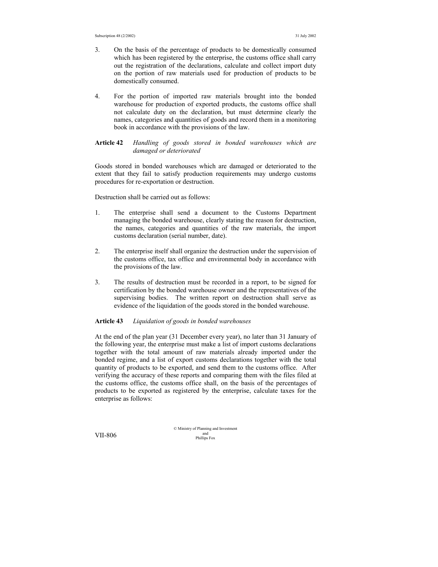- 3. On the basis of the percentage of products to be domestically consumed which has been registered by the enterprise, the customs office shall carry out the registration of the declarations, calculate and collect import duty on the portion of raw materials used for production of products to be domestically consumed.
- 4. For the portion of imported raw materials brought into the bonded warehouse for production of exported products, the customs office shall not calculate duty on the declaration, but must determine clearly the names, categories and quantities of goods and record them in a monitoring book in accordance with the provisions of the law.

## **Article 42** *Handling of goods stored in bonded warehouses which are damaged or deteriorated*

Goods stored in bonded warehouses which are damaged or deteriorated to the extent that they fail to satisfy production requirements may undergo customs procedures for re-exportation or destruction.

Destruction shall be carried out as follows:

- 1. The enterprise shall send a document to the Customs Department managing the bonded warehouse, clearly stating the reason for destruction, the names, categories and quantities of the raw materials, the import customs declaration (serial number, date).
- 2. The enterprise itself shall organize the destruction under the supervision of the customs office, tax office and environmental body in accordance with the provisions of the law.
- 3. The results of destruction must be recorded in a report, to be signed for certification by the bonded warehouse owner and the representatives of the supervising bodies. The written report on destruction shall serve as evidence of the liquidation of the goods stored in the bonded warehouse.

#### **Article 43** *Liquidation of goods in bonded warehouses*

At the end of the plan year (31 December every year), no later than 31 January of the following year, the enterprise must make a list of import customs declarations together with the total amount of raw materials already imported under the bonded regime, and a list of export customs declarations together with the total quantity of products to be exported, and send them to the customs office. After verifying the accuracy of these reports and comparing them with the files filed at the customs office, the customs office shall, on the basis of the percentages of products to be exported as registered by the enterprise, calculate taxes for the enterprise as follows:

© Ministry of Planning and Investment VII-806 and phillips Fox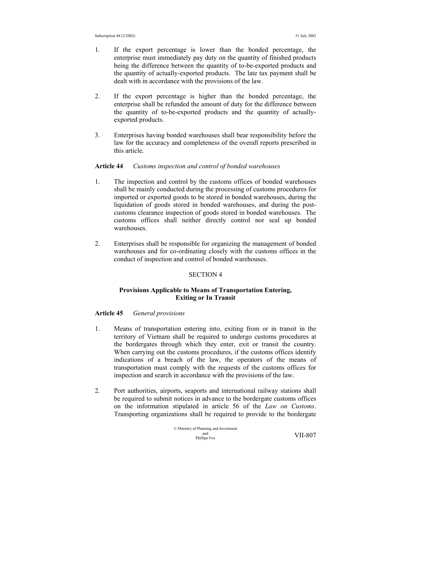- 1. If the export percentage is lower than the bonded percentage, the enterprise must immediately pay duty on the quantity of finished products being the difference between the quantity of to-be-exported products and the quantity of actually-exported products. The late tax payment shall be dealt with in accordance with the provisions of the law.
- 2. If the export percentage is higher than the bonded percentage, the enterprise shall be refunded the amount of duty for the difference between the quantity of to-be-exported products and the quantity of actuallyexported products.
- 3. Enterprises having bonded warehouses shall bear responsibility before the law for the accuracy and completeness of the overall reports prescribed in this article.

## **Article 44** *Customs inspection and control of bonded warehouses*

- 1. The inspection and control by the customs offices of bonded warehouses shall be mainly conducted during the processing of customs procedures for imported or exported goods to be stored in bonded warehouses, during the liquidation of goods stored in bonded warehouses, and during the postcustoms clearance inspection of goods stored in bonded warehouses. The customs offices shall neither directly control nor seal up bonded warehouses.
- 2. Enterprises shall be responsible for organizing the management of bonded warehouses and for co-ordinating closely with the customs offices in the conduct of inspection and control of bonded warehouses.

### SECTION 4

## **Provisions Applicable to Means of Transportation Entering, Exiting or In Transit**

#### **Article 45** *General provisions*

- 1. Means of transportation entering into, exiting from or in transit in the territory of Vietnam shall be required to undergo customs procedures at the bordergates through which they enter, exit or transit the country. When carrying out the customs procedures, if the customs offices identify indications of a breach of the law, the operators of the means of transportation must comply with the requests of the customs offices for inspection and search in accordance with the provisions of the law.
- 2. Port authorities, airports, seaports and international railway stations shall be required to submit notices in advance to the bordergate customs offices on the information stipulated in article 56 of the *Law on Customs*. Transporting organizations shall be required to provide to the bordergate

© Ministry of Planning and Investment and Phillips Fox VII-807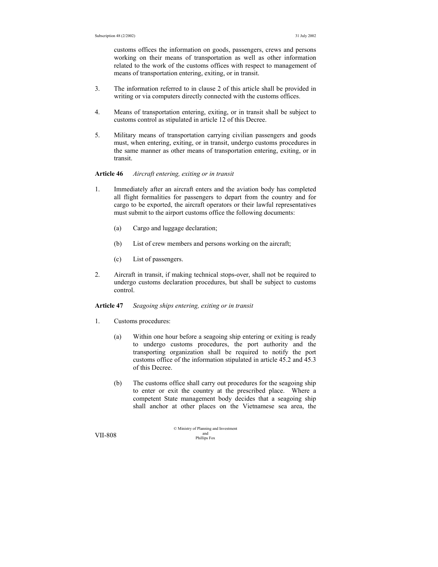customs offices the information on goods, passengers, crews and persons working on their means of transportation as well as other information related to the work of the customs offices with respect to management of means of transportation entering, exiting, or in transit.

- 3. The information referred to in clause 2 of this article shall be provided in writing or via computers directly connected with the customs offices.
- 4. Means of transportation entering, exiting, or in transit shall be subject to customs control as stipulated in article 12 of this Decree.
- 5. Military means of transportation carrying civilian passengers and goods must, when entering, exiting, or in transit, undergo customs procedures in the same manner as other means of transportation entering, exiting, or in transit.

## **Article 46** *Aircraft entering, exiting or in transit*

- 1. Immediately after an aircraft enters and the aviation body has completed all flight formalities for passengers to depart from the country and for cargo to be exported, the aircraft operators or their lawful representatives must submit to the airport customs office the following documents:
	- (a) Cargo and luggage declaration;
	- (b) List of crew members and persons working on the aircraft;
	- (c) List of passengers.
- 2. Aircraft in transit, if making technical stops-over, shall not be required to undergo customs declaration procedures, but shall be subject to customs control.

#### **Article 47** *Seagoing ships entering, exiting or in transit*

- 1. Customs procedures:
	- (a) Within one hour before a seagoing ship entering or exiting is ready to undergo customs procedures, the port authority and the transporting organization shall be required to notify the port customs office of the information stipulated in article 45.2 and 45.3 of this Decree.
	- (b) The customs office shall carry out procedures for the seagoing ship to enter or exit the country at the prescribed place. Where a competent State management body decides that a seagoing ship shall anchor at other places on the Vietnamese sea area, the

© Ministry of Planning and Investment and VII-808 Phillips Fox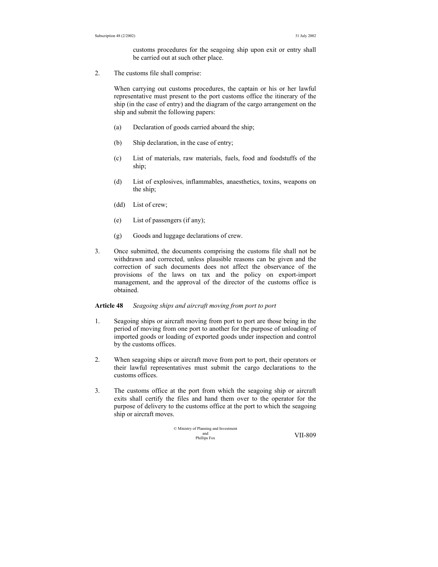customs procedures for the seagoing ship upon exit or entry shall be carried out at such other place.

2. The customs file shall comprise:

When carrying out customs procedures, the captain or his or her lawful representative must present to the port customs office the itinerary of the ship (in the case of entry) and the diagram of the cargo arrangement on the ship and submit the following papers:

- (a) Declaration of goods carried aboard the ship;
- (b) Ship declaration, in the case of entry;
- (c) List of materials, raw materials, fuels, food and foodstuffs of the ship;
- (d) List of explosives, inflammables, anaesthetics, toxins, weapons on the ship;
- (dd) List of crew;
- (e) List of passengers (if any);
- (g) Goods and luggage declarations of crew.
- 3. Once submitted, the documents comprising the customs file shall not be withdrawn and corrected, unless plausible reasons can be given and the correction of such documents does not affect the observance of the provisions of the laws on tax and the policy on export-import management, and the approval of the director of the customs office is obtained.

## **Article 48** *Seagoing ships and aircraft moving from port to port*

- 1. Seagoing ships or aircraft moving from port to port are those being in the period of moving from one port to another for the purpose of unloading of imported goods or loading of exported goods under inspection and control by the customs offices.
- 2. When seagoing ships or aircraft move from port to port, their operators or their lawful representatives must submit the cargo declarations to the customs offices.
- 3. The customs office at the port from which the seagoing ship or aircraft exits shall certify the files and hand them over to the operator for the purpose of delivery to the customs office at the port to which the seagoing ship or aircraft moves.

© Ministry of Planning and Investment and Phillips Fox VII-809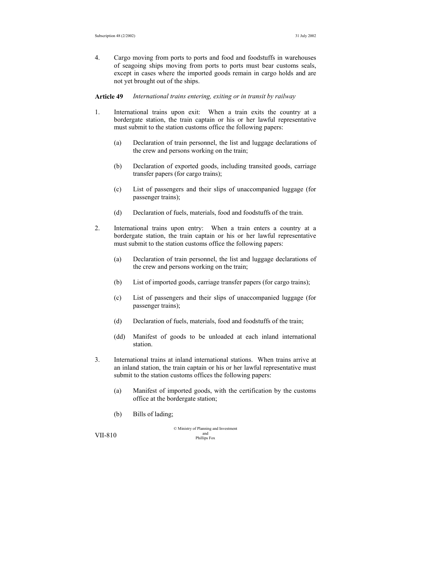4. Cargo moving from ports to ports and food and foodstuffs in warehouses of seagoing ships moving from ports to ports must bear customs seals, except in cases where the imported goods remain in cargo holds and are not yet brought out of the ships.

**Article 49** *International trains entering, exiting or in transit by railway*

- 1. International trains upon exit: When a train exits the country at a bordergate station, the train captain or his or her lawful representative must submit to the station customs office the following papers:
	- (a) Declaration of train personnel, the list and luggage declarations of the crew and persons working on the train;
	- (b) Declaration of exported goods, including transited goods, carriage transfer papers (for cargo trains);
	- (c) List of passengers and their slips of unaccompanied luggage (for passenger trains);
	- (d) Declaration of fuels, materials, food and foodstuffs of the train.
- 2. International trains upon entry: When a train enters a country at a bordergate station, the train captain or his or her lawful representative must submit to the station customs office the following papers:
	- (a) Declaration of train personnel, the list and luggage declarations of the crew and persons working on the train;
	- (b) List of imported goods, carriage transfer papers (for cargo trains);
	- (c) List of passengers and their slips of unaccompanied luggage (for passenger trains);
	- (d) Declaration of fuels, materials, food and foodstuffs of the train;
	- (dd) Manifest of goods to be unloaded at each inland international station.
- 3. International trains at inland international stations. When trains arrive at an inland station, the train captain or his or her lawful representative must submit to the station customs offices the following papers:
	- (a) Manifest of imported goods, with the certification by the customs office at the bordergate station;
	- (b) Bills of lading;

© Ministry of Planning and Investment  $VII-810$  and  $VII-810$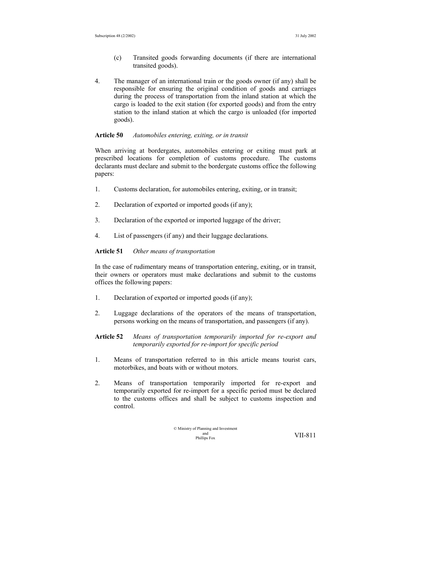- (c) Transited goods forwarding documents (if there are international transited goods).
- 4. The manager of an international train or the goods owner (if any) shall be responsible for ensuring the original condition of goods and carriages during the process of transportation from the inland station at which the cargo is loaded to the exit station (for exported goods) and from the entry station to the inland station at which the cargo is unloaded (for imported goods).

## **Article 50** *Automobiles entering, exiting, or in transit*

When arriving at bordergates, automobiles entering or exiting must park at prescribed locations for completion of customs procedure. The customs declarants must declare and submit to the bordergate customs office the following papers:

- 1. Customs declaration, for automobiles entering, exiting, or in transit;
- 2. Declaration of exported or imported goods (if any);
- 3. Declaration of the exported or imported luggage of the driver;
- 4. List of passengers (if any) and their luggage declarations.

**Article 51** *Other means of transportation* 

In the case of rudimentary means of transportation entering, exiting, or in transit, their owners or operators must make declarations and submit to the customs offices the following papers:

- 1. Declaration of exported or imported goods (if any);
- 2. Luggage declarations of the operators of the means of transportation, persons working on the means of transportation, and passengers (if any).
- **Article 52** *Means of transportation temporarily imported for re-export and temporarily exported for re-import for specific period*
- 1. Means of transportation referred to in this article means tourist cars, motorbikes, and boats with or without motors.
- 2. Means of transportation temporarily imported for re-export and temporarily exported for re-import for a specific period must be declared to the customs offices and shall be subject to customs inspection and control.

© Ministry of Planning and Investment and Phillips Fox VII-811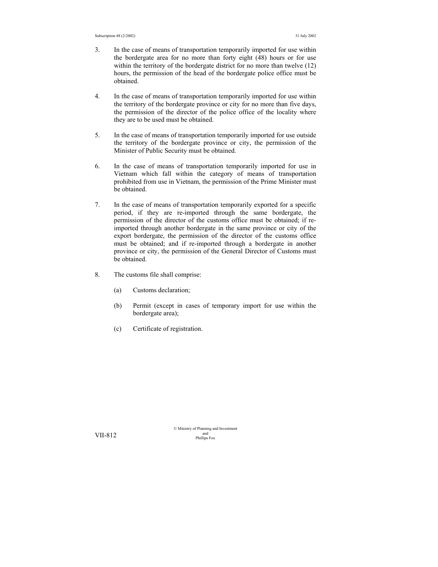- 3. In the case of means of transportation temporarily imported for use within the bordergate area for no more than forty eight (48) hours or for use within the territory of the bordergate district for no more than twelve (12) hours, the permission of the head of the bordergate police office must be obtained.
- 4. In the case of means of transportation temporarily imported for use within the territory of the bordergate province or city for no more than five days, the permission of the director of the police office of the locality where they are to be used must be obtained.
- 5. In the case of means of transportation temporarily imported for use outside the territory of the bordergate province or city, the permission of the Minister of Public Security must be obtained.
- 6. In the case of means of transportation temporarily imported for use in Vietnam which fall within the category of means of transportation prohibited from use in Vietnam, the permission of the Prime Minister must be obtained.
- 7. In the case of means of transportation temporarily exported for a specific period, if they are re-imported through the same bordergate, the permission of the director of the customs office must be obtained; if reimported through another bordergate in the same province or city of the export bordergate, the permission of the director of the customs office must be obtained; and if re-imported through a bordergate in another province or city, the permission of the General Director of Customs must be obtained.
- 8. The customs file shall comprise:
	- (a) Customs declaration;
	- (b) Permit (except in cases of temporary import for use within the bordergate area);
	- (c) Certificate of registration.

© Ministry of Planning and Investment VII-812 and phillips Fox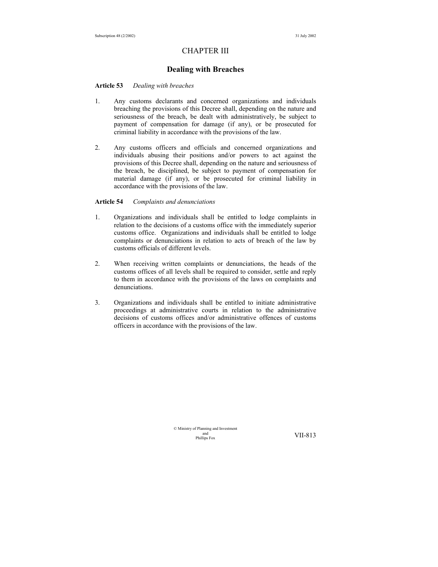## CHAPTER III

## **Dealing with Breaches**

#### **Article 53** *Dealing with breaches*

- 1. Any customs declarants and concerned organizations and individuals breaching the provisions of this Decree shall, depending on the nature and seriousness of the breach, be dealt with administratively, be subject to payment of compensation for damage (if any), or be prosecuted for criminal liability in accordance with the provisions of the law.
- 2. Any customs officers and officials and concerned organizations and individuals abusing their positions and/or powers to act against the provisions of this Decree shall, depending on the nature and seriousness of the breach, be disciplined, be subject to payment of compensation for material damage (if any), or be prosecuted for criminal liability in accordance with the provisions of the law.

### **Article 54** *Complaints and denunciations*

- 1. Organizations and individuals shall be entitled to lodge complaints in relation to the decisions of a customs office with the immediately superior customs office. Organizations and individuals shall be entitled to lodge complaints or denunciations in relation to acts of breach of the law by customs officials of different levels.
- 2. When receiving written complaints or denunciations, the heads of the customs offices of all levels shall be required to consider, settle and reply to them in accordance with the provisions of the laws on complaints and denunciations.
- 3. Organizations and individuals shall be entitled to initiate administrative proceedings at administrative courts in relation to the administrative decisions of customs offices and/or administrative offences of customs officers in accordance with the provisions of the law.

© Ministry of Planning and Investment and<br>Phillins Fox

VII-813